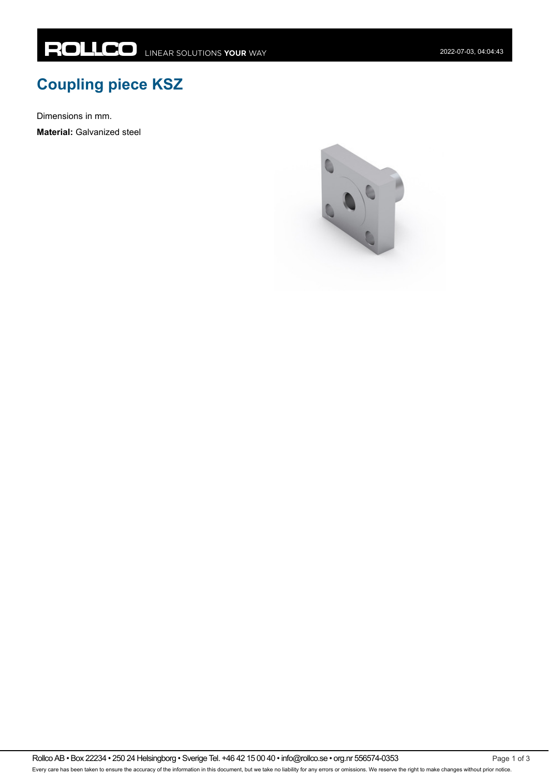## **Coupling piece KSZ**

Dimensions in mm.

**Material:** Galvanized steel



Rollco AB • Box 22234 • 250 24 Helsingborg • Sverige Tel. +46 42 15 00 40 • info@rollco.se • org.nr 556574-0353 Every care has been taken to ensure the accuracy of the information in this document, but we take no liability for any errors or omissions. We reserve the right to make changes without prior notice.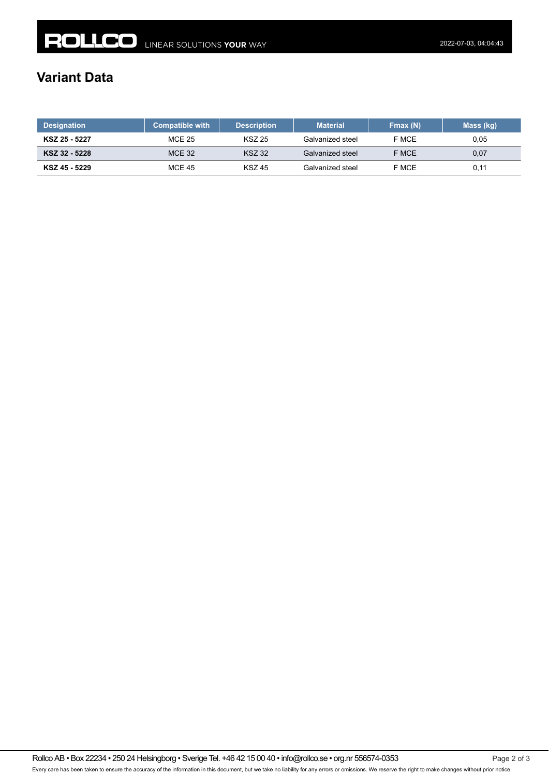## **Variant Data**

| <b>Designation</b> | <b>Compatible with</b> | <b>Description</b> | <b>Material</b>  | Fmax(N) | Mass (kg) |
|--------------------|------------------------|--------------------|------------------|---------|-----------|
| KSZ 25 - 5227      | <b>MCE 25</b>          | <b>KSZ 25</b>      | Galvanized steel | F MCE   | 0,05      |
| KSZ 32 - 5228      | <b>MCE 32</b>          | <b>KSZ 32</b>      | Galvanized steel | F MCE   | 0,07      |
| KSZ 45 - 5229      | <b>MCE 45</b>          | <b>KSZ 45</b>      | Galvanized steel | F MCE   | 0,11      |

Rollco AB • Box 22234 • 250 24 Helsingborg • Sverige Tel. +46 42 15 00 40 • info@rollco.se • org.nr 556574-0353 Page 2 of 3 Every care has been taken to ensure the accuracy of the information in this document, but we take no liability for any errors or omissions. We reserve the right to make changes without prior notice.